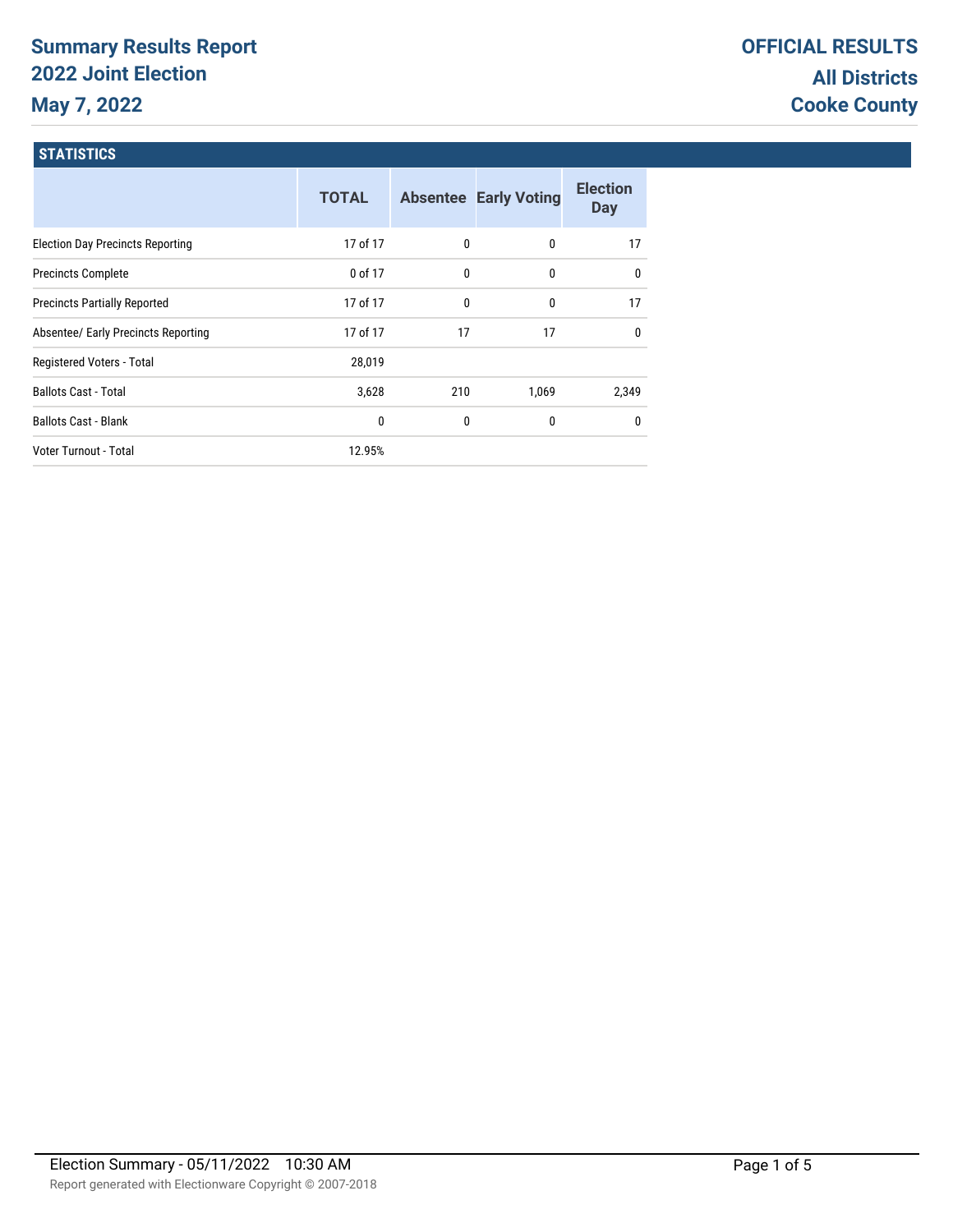# **Summary Results Report 2022 Joint Election May 7, 2022**

### **STATISTICS**

|                                         | <b>TOTAL</b> |     | <b>Absentee Early Voting</b> | <b>Election</b><br><b>Day</b> |
|-----------------------------------------|--------------|-----|------------------------------|-------------------------------|
| <b>Election Day Precincts Reporting</b> | 17 of 17     | 0   | 0                            | 17                            |
| <b>Precincts Complete</b>               | 0 of 17      | 0   | 0                            | $\mathbf{0}$                  |
| <b>Precincts Partially Reported</b>     | 17 of 17     | 0   | 0                            | 17                            |
| Absentee/ Early Precincts Reporting     | 17 of 17     | 17  | 17                           | $\mathbf{0}$                  |
| Registered Voters - Total               | 28,019       |     |                              |                               |
| <b>Ballots Cast - Total</b>             | 3,628        | 210 | 1,069                        | 2,349                         |
| <b>Ballots Cast - Blank</b>             | 0            | 0   | 0                            | $\mathbf{0}$                  |
| Voter Turnout - Total                   | 12.95%       |     |                              |                               |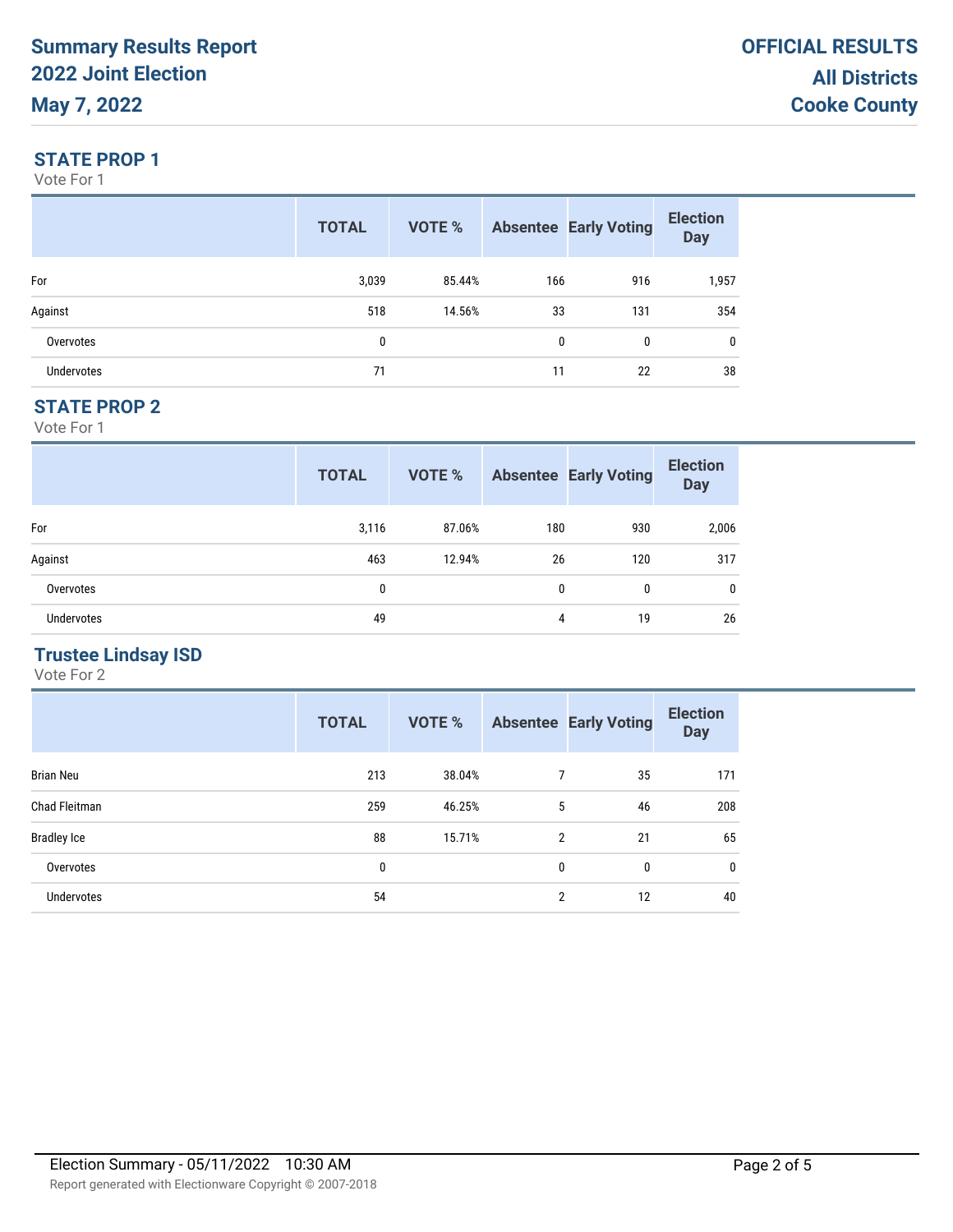#### **STATE PROP 1**

Vote For 1

|                   | <b>TOTAL</b> | VOTE % |              | <b>Absentee Early Voting</b> | <b>Election</b><br><b>Day</b> |
|-------------------|--------------|--------|--------------|------------------------------|-------------------------------|
| For               | 3,039        | 85.44% | 166          | 916                          | 1,957                         |
| Against           | 518          | 14.56% | 33           | 131                          | 354                           |
| Overvotes         | 0            |        | $\mathbf{0}$ | 0                            | $\mathbf{0}$                  |
| <b>Undervotes</b> | 71           |        | 11           | 22                           | 38                            |

#### **STATE PROP 2**

Vote For 1

|                   | <b>TOTAL</b> | VOTE % |              | <b>Absentee Early Voting</b> | <b>Election</b><br><b>Day</b> |
|-------------------|--------------|--------|--------------|------------------------------|-------------------------------|
| For               | 3,116        | 87.06% | 180          | 930                          | 2,006                         |
| Against           | 463          | 12.94% | 26           | 120                          | 317                           |
| Overvotes         | 0            |        | $\mathbf{0}$ | 0                            | $\mathbf 0$                   |
| <b>Undervotes</b> | 49           |        | 4            | 19                           | 26                            |

## **Trustee Lindsay ISD**

|                    | <b>TOTAL</b> | VOTE % |                | <b>Absentee Early Voting</b> | <b>Election</b><br><b>Day</b> |
|--------------------|--------------|--------|----------------|------------------------------|-------------------------------|
| <b>Brian Neu</b>   | 213          | 38.04% | 7              | 35                           | 171                           |
| Chad Fleitman      | 259          | 46.25% | 5              | 46                           | 208                           |
| <b>Bradley Ice</b> | 88           | 15.71% | $\overline{2}$ | 21                           | 65                            |
| Overvotes          | 0            |        | 0              | 0                            | $\mathbf 0$                   |
| Undervotes         | 54           |        | $\overline{2}$ | 12                           | 40                            |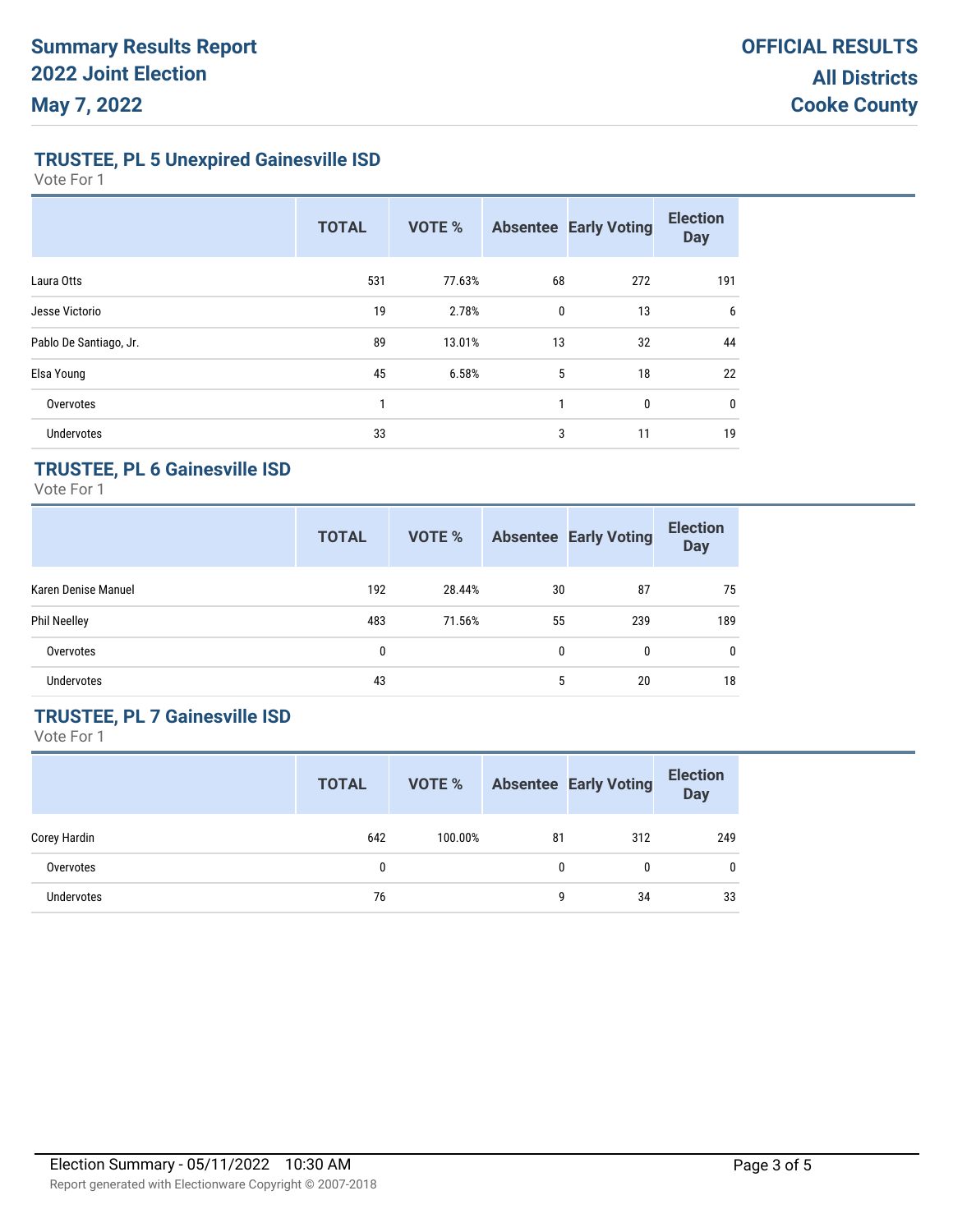**TRUSTEE, PL 5 Unexpired Gainesville ISD**

Vote For 1

|                        | <b>TOTAL</b> | <b>VOTE %</b> |              | <b>Absentee Early Voting</b> | <b>Election</b><br><b>Day</b> |
|------------------------|--------------|---------------|--------------|------------------------------|-------------------------------|
| Laura Otts             | 531          | 77.63%        | 68           | 272                          | 191                           |
| Jesse Victorio         | 19           | 2.78%         | $\mathbf{0}$ | 13                           | 6                             |
| Pablo De Santiago, Jr. | 89           | 13.01%        | 13           | 32                           | 44                            |
| Elsa Young             | 45           | 6.58%         | 5            | 18                           | 22                            |
| Overvotes              | 1            |               | 1            | $\mathbf{0}$                 | 0                             |
| <b>Undervotes</b>      | 33           |               | 3            | 11                           | 19                            |

#### **TRUSTEE, PL 6 Gainesville ISD**

Vote For 1

|                     | <b>TOTAL</b> | <b>VOTE %</b> |    | <b>Absentee Early Voting</b> | <b>Election</b><br><b>Day</b> |
|---------------------|--------------|---------------|----|------------------------------|-------------------------------|
| Karen Denise Manuel | 192          | 28.44%        | 30 | 87                           | 75                            |
| <b>Phil Neelley</b> | 483          | 71.56%        | 55 | 239                          | 189                           |
| Overvotes           | 0            |               | 0  | 0                            | $\mathbf{0}$                  |
| Undervotes          | 43           |               | 5  | 20                           | 18                            |

## **TRUSTEE, PL 7 Gainesville ISD**

|                   | <b>TOTAL</b> | VOTE %  |    | <b>Absentee Early Voting</b> | <b>Election</b><br><b>Day</b> |
|-------------------|--------------|---------|----|------------------------------|-------------------------------|
| Corey Hardin      | 642          | 100.00% | 81 | 312                          | 249                           |
| Overvotes         |              |         | 0  | 0                            | 0                             |
| <b>Undervotes</b> | 76           |         | q  | 34                           | 33                            |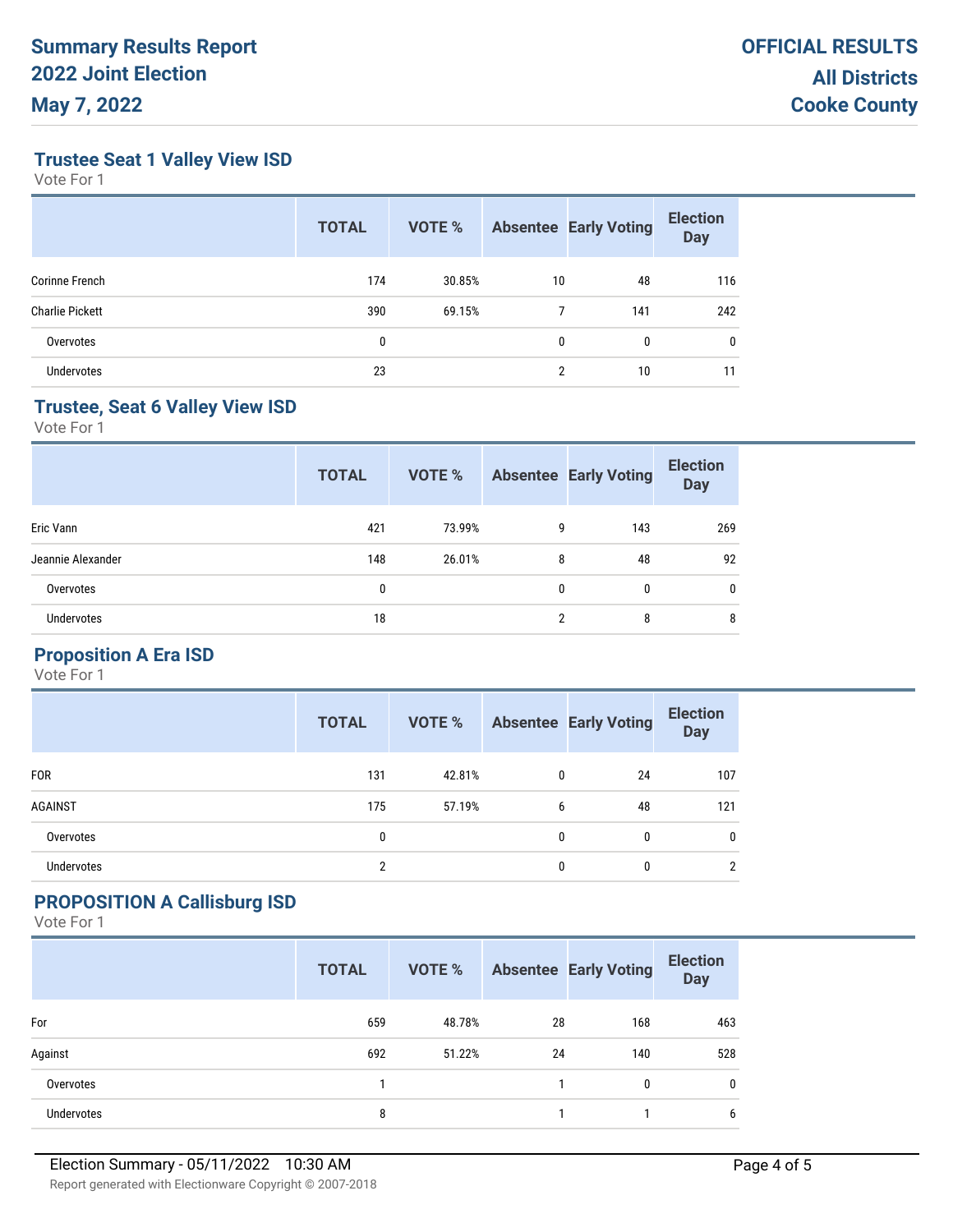**Trustee Seat 1 Valley View ISD**

Vote For 1

|                        | <b>TOTAL</b> | <b>VOTE %</b> |    | <b>Absentee Early Voting</b> | <b>Election</b><br><b>Day</b> |
|------------------------|--------------|---------------|----|------------------------------|-------------------------------|
| Corinne French         | 174          | 30.85%        | 10 | 48                           | 116                           |
| <b>Charlie Pickett</b> | 390          | 69.15%        |    | 141                          | 242                           |
| Overvotes              | 0            |               | 0  | 0                            | 0                             |
| <b>Undervotes</b>      | 23           |               | ŋ  | 10                           | 11                            |

## **Trustee, Seat 6 Valley View ISD**

Vote For 1

| <b>TOTAL</b> | <b>VOTE %</b> |     | <b>Election</b><br><b>Day</b>                                           |
|--------------|---------------|-----|-------------------------------------------------------------------------|
| 421          | 73.99%        | 143 | 269                                                                     |
| 148          | 26.01%        | 48  | 92                                                                      |
| 0            |               | 0   | $\mathbf{0}$                                                            |
| 18           |               | 8   | 8                                                                       |
|              |               |     | <b>Absentee Early Voting</b><br>9<br>8<br>$\mathbf{0}$<br>$\mathcal{P}$ |

## **Proposition A Era ISD**

Vote For 1

|                | <b>TOTAL</b> | VOTE % |   | <b>Absentee Early Voting</b> | <b>Election</b><br><b>Day</b> |
|----------------|--------------|--------|---|------------------------------|-------------------------------|
| <b>FOR</b>     | 131          | 42.81% | 0 | 24                           | 107                           |
| <b>AGAINST</b> | 175          | 57.19% | 6 | 48                           | 121                           |
| Overvotes      | 0            |        | 0 | 0                            | $\mathbf{0}$                  |
| Undervotes     | C            |        | 0 | 0                            | $\mathfrak{p}$                |

## **PROPOSITION A Callisburg ISD**

|            | <b>TOTAL</b> | <b>VOTE %</b> |    | <b>Absentee Early Voting</b> | <b>Election</b><br><b>Day</b> |
|------------|--------------|---------------|----|------------------------------|-------------------------------|
| For        | 659          | 48.78%        | 28 | 168                          | 463                           |
| Against    | 692          | 51.22%        | 24 | 140                          | 528                           |
| Overvotes  |              |               |    | $\mathbf{0}$                 | $\mathbf 0$                   |
| Undervotes | 8            |               |    |                              | 6                             |